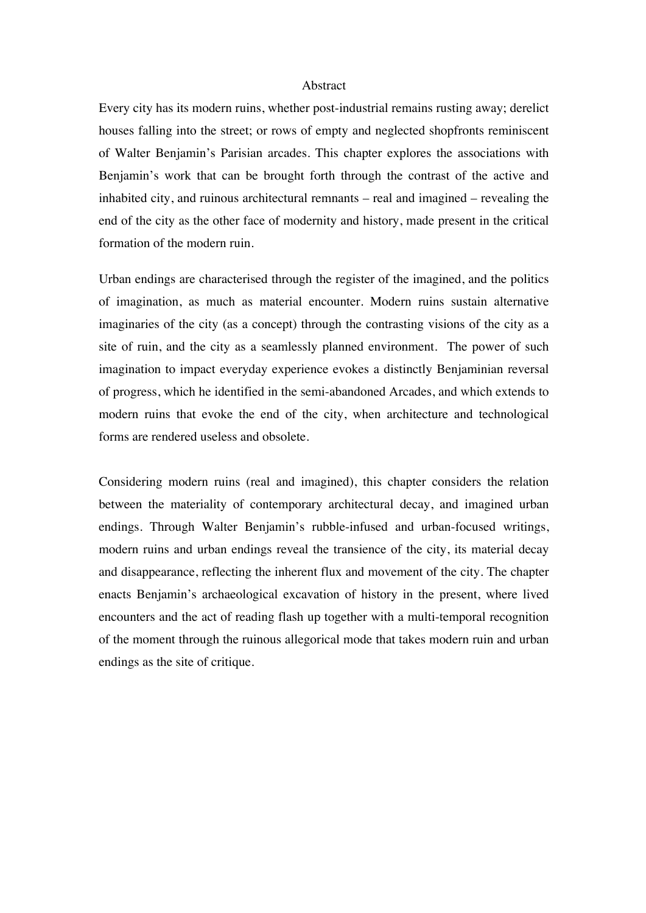#### Abstract

Every city has its modern ruins, whether post-industrial remains rusting away; derelict houses falling into the street; or rows of empty and neglected shopfronts reminiscent of Walter Benjamin's Parisian arcades. This chapter explores the associations with Benjamin's work that can be brought forth through the contrast of the active and inhabited city, and ruinous architectural remnants – real and imagined – revealing the end of the city as the other face of modernity and history, made present in the critical formation of the modern ruin.

Urban endings are characterised through the register of the imagined, and the politics of imagination, as much as material encounter. Modern ruins sustain alternative imaginaries of the city (as a concept) through the contrasting visions of the city as a site of ruin, and the city as a seamlessly planned environment. The power of such imagination to impact everyday experience evokes a distinctly Benjaminian reversal of progress, which he identified in the semi-abandoned Arcades, and which extends to modern ruins that evoke the end of the city, when architecture and technological forms are rendered useless and obsolete.

Considering modern ruins (real and imagined), this chapter considers the relation between the materiality of contemporary architectural decay, and imagined urban endings. Through Walter Benjamin's rubble-infused and urban-focused writings, modern ruins and urban endings reveal the transience of the city, its material decay and disappearance, reflecting the inherent flux and movement of the city. The chapter enacts Benjamin's archaeological excavation of history in the present, where lived encounters and the act of reading flash up together with a multi-temporal recognition of the moment through the ruinous allegorical mode that takes modern ruin and urban endings as the site of critique.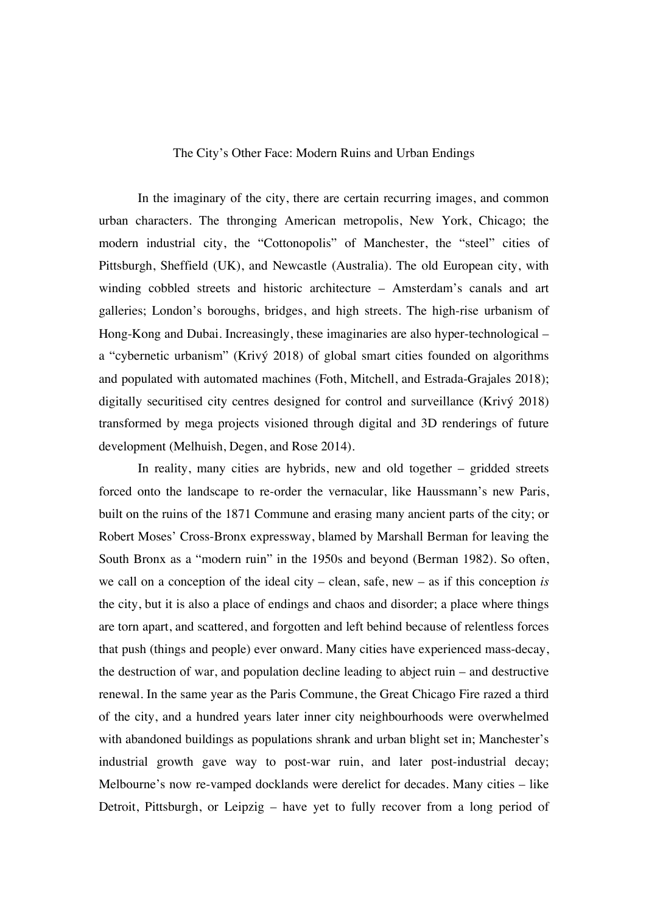# The City's Other Face: Modern Ruins and Urban Endings

In the imaginary of the city, there are certain recurring images, and common urban characters. The thronging American metropolis, New York, Chicago; the modern industrial city, the "Cottonopolis" of Manchester, the "steel" cities of Pittsburgh, Sheffield (UK), and Newcastle (Australia). The old European city, with winding cobbled streets and historic architecture – Amsterdam's canals and art galleries; London's boroughs, bridges, and high streets. The high-rise urbanism of Hong-Kong and Dubai. Increasingly, these imaginaries are also hyper-technological – a "cybernetic urbanism" (Krivý 2018) of global smart cities founded on algorithms and populated with automated machines (Foth, Mitchell, and Estrada-Grajales 2018); digitally securitised city centres designed for control and surveillance (Krivý 2018) transformed by mega projects visioned through digital and 3D renderings of future development (Melhuish, Degen, and Rose 2014).

In reality, many cities are hybrids, new and old together – gridded streets forced onto the landscape to re-order the vernacular, like Haussmann's new Paris, built on the ruins of the 1871 Commune and erasing many ancient parts of the city; or Robert Moses' Cross-Bronx expressway, blamed by Marshall Berman for leaving the South Bronx as a "modern ruin" in the 1950s and beyond (Berman 1982). So often, we call on a conception of the ideal city – clean, safe, new – as if this conception *is* the city, but it is also a place of endings and chaos and disorder; a place where things are torn apart, and scattered, and forgotten and left behind because of relentless forces that push (things and people) ever onward. Many cities have experienced mass-decay, the destruction of war, and population decline leading to abject ruin – and destructive renewal. In the same year as the Paris Commune, the Great Chicago Fire razed a third of the city, and a hundred years later inner city neighbourhoods were overwhelmed with abandoned buildings as populations shrank and urban blight set in; Manchester's industrial growth gave way to post-war ruin, and later post-industrial decay; Melbourne's now re-vamped docklands were derelict for decades. Many cities – like Detroit, Pittsburgh, or Leipzig – have yet to fully recover from a long period of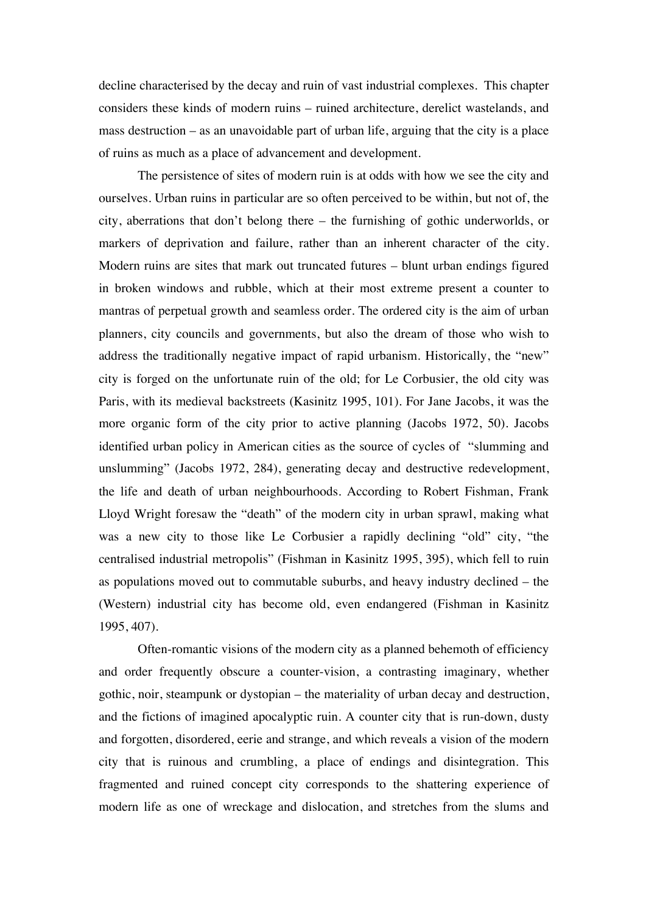decline characterised by the decay and ruin of vast industrial complexes. This chapter considers these kinds of modern ruins – ruined architecture, derelict wastelands, and mass destruction – as an unavoidable part of urban life, arguing that the city is a place of ruins as much as a place of advancement and development.

The persistence of sites of modern ruin is at odds with how we see the city and ourselves. Urban ruins in particular are so often perceived to be within, but not of, the city, aberrations that don't belong there – the furnishing of gothic underworlds, or markers of deprivation and failure, rather than an inherent character of the city. Modern ruins are sites that mark out truncated futures – blunt urban endings figured in broken windows and rubble, which at their most extreme present a counter to mantras of perpetual growth and seamless order. The ordered city is the aim of urban planners, city councils and governments, but also the dream of those who wish to address the traditionally negative impact of rapid urbanism. Historically, the "new" city is forged on the unfortunate ruin of the old; for Le Corbusier, the old city was Paris, with its medieval backstreets (Kasinitz 1995, 101). For Jane Jacobs, it was the more organic form of the city prior to active planning (Jacobs 1972, 50). Jacobs identified urban policy in American cities as the source of cycles of "slumming and unslumming" (Jacobs 1972, 284), generating decay and destructive redevelopment, the life and death of urban neighbourhoods. According to Robert Fishman, Frank Lloyd Wright foresaw the "death" of the modern city in urban sprawl, making what was a new city to those like Le Corbusier a rapidly declining "old" city, "the centralised industrial metropolis" (Fishman in Kasinitz 1995, 395), which fell to ruin as populations moved out to commutable suburbs, and heavy industry declined – the (Western) industrial city has become old, even endangered (Fishman in Kasinitz 1995, 407).

Often-romantic visions of the modern city as a planned behemoth of efficiency and order frequently obscure a counter-vision, a contrasting imaginary, whether gothic, noir, steampunk or dystopian – the materiality of urban decay and destruction, and the fictions of imagined apocalyptic ruin. A counter city that is run-down, dusty and forgotten, disordered, eerie and strange, and which reveals a vision of the modern city that is ruinous and crumbling, a place of endings and disintegration. This fragmented and ruined concept city corresponds to the shattering experience of modern life as one of wreckage and dislocation, and stretches from the slums and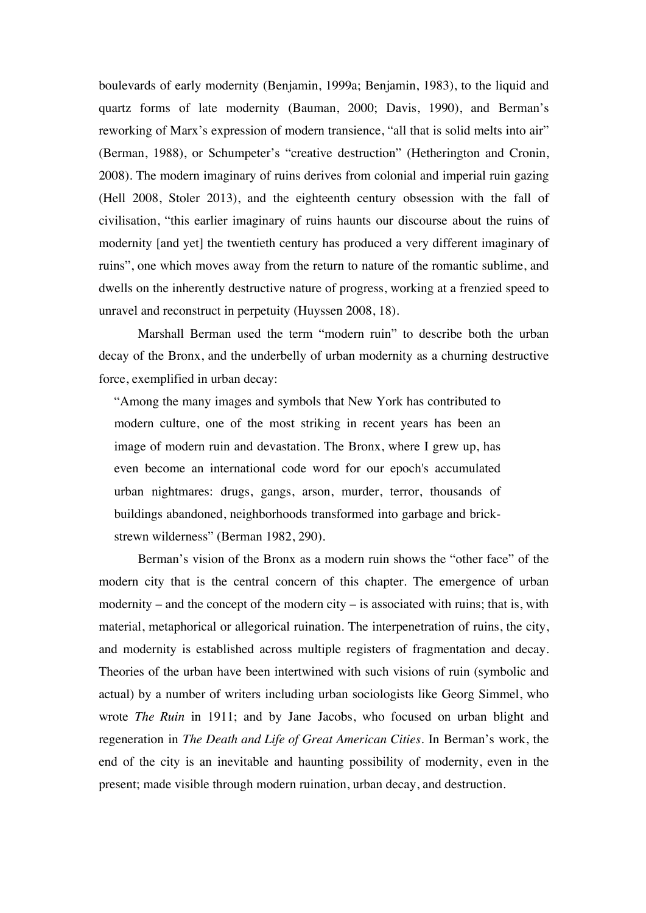boulevards of early modernity (Benjamin, 1999a; Benjamin, 1983), to the liquid and quartz forms of late modernity (Bauman, 2000; Davis, 1990), and Berman's reworking of Marx's expression of modern transience, "all that is solid melts into air" (Berman, 1988), or Schumpeter's "creative destruction" (Hetherington and Cronin, 2008). The modern imaginary of ruins derives from colonial and imperial ruin gazing (Hell 2008, Stoler 2013), and the eighteenth century obsession with the fall of civilisation, "this earlier imaginary of ruins haunts our discourse about the ruins of modernity [and yet] the twentieth century has produced a very different imaginary of ruins", one which moves away from the return to nature of the romantic sublime, and dwells on the inherently destructive nature of progress, working at a frenzied speed to unravel and reconstruct in perpetuity (Huyssen 2008, 18).

Marshall Berman used the term "modern ruin" to describe both the urban decay of the Bronx, and the underbelly of urban modernity as a churning destructive force, exemplified in urban decay:

"Among the many images and symbols that New York has contributed to modern culture, one of the most striking in recent years has been an image of modern ruin and devastation. The Bronx, where I grew up, has even become an international code word for our epoch's accumulated urban nightmares: drugs, gangs, arson, murder, terror, thousands of buildings abandoned, neighborhoods transformed into garbage and brickstrewn wilderness" (Berman 1982, 290).

Berman's vision of the Bronx as a modern ruin shows the "other face" of the modern city that is the central concern of this chapter. The emergence of urban modernity – and the concept of the modern city – is associated with ruins; that is, with material, metaphorical or allegorical ruination. The interpenetration of ruins, the city, and modernity is established across multiple registers of fragmentation and decay. Theories of the urban have been intertwined with such visions of ruin (symbolic and actual) by a number of writers including urban sociologists like Georg Simmel, who wrote *The Ruin* in 1911; and by Jane Jacobs, who focused on urban blight and regeneration in *The Death and Life of Great American Cities*. In Berman's work, the end of the city is an inevitable and haunting possibility of modernity, even in the present; made visible through modern ruination, urban decay, and destruction.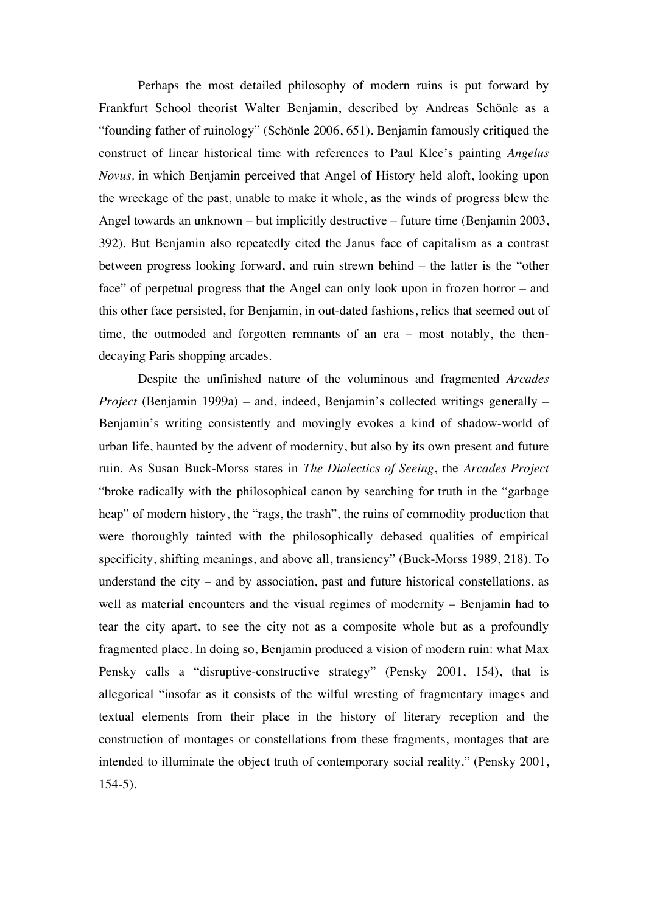Perhaps the most detailed philosophy of modern ruins is put forward by Frankfurt School theorist Walter Benjamin, described by Andreas Schönle as a "founding father of ruinology" (Schönle 2006, 651). Benjamin famously critiqued the construct of linear historical time with references to Paul Klee's painting *Angelus Novus,* in which Benjamin perceived that Angel of History held aloft, looking upon the wreckage of the past, unable to make it whole, as the winds of progress blew the Angel towards an unknown – but implicitly destructive – future time (Benjamin 2003, 392). But Benjamin also repeatedly cited the Janus face of capitalism as a contrast between progress looking forward, and ruin strewn behind – the latter is the "other face" of perpetual progress that the Angel can only look upon in frozen horror – and this other face persisted, for Benjamin, in out-dated fashions, relics that seemed out of time, the outmoded and forgotten remnants of an era – most notably, the thendecaying Paris shopping arcades.

Despite the unfinished nature of the voluminous and fragmented *Arcades Project* (Benjamin 1999a) – and, indeed, Benjamin's collected writings generally – Benjamin's writing consistently and movingly evokes a kind of shadow-world of urban life, haunted by the advent of modernity, but also by its own present and future ruin. As Susan Buck-Morss states in *The Dialectics of Seeing*, the *Arcades Project* "broke radically with the philosophical canon by searching for truth in the "garbage heap" of modern history, the "rags, the trash", the ruins of commodity production that were thoroughly tainted with the philosophically debased qualities of empirical specificity, shifting meanings, and above all, transiency" (Buck-Morss 1989, 218). To understand the city – and by association, past and future historical constellations, as well as material encounters and the visual regimes of modernity – Benjamin had to tear the city apart, to see the city not as a composite whole but as a profoundly fragmented place. In doing so, Benjamin produced a vision of modern ruin: what Max Pensky calls a "disruptive-constructive strategy" (Pensky 2001, 154), that is allegorical "insofar as it consists of the wilful wresting of fragmentary images and textual elements from their place in the history of literary reception and the construction of montages or constellations from these fragments, montages that are intended to illuminate the object truth of contemporary social reality." (Pensky 2001, 154-5).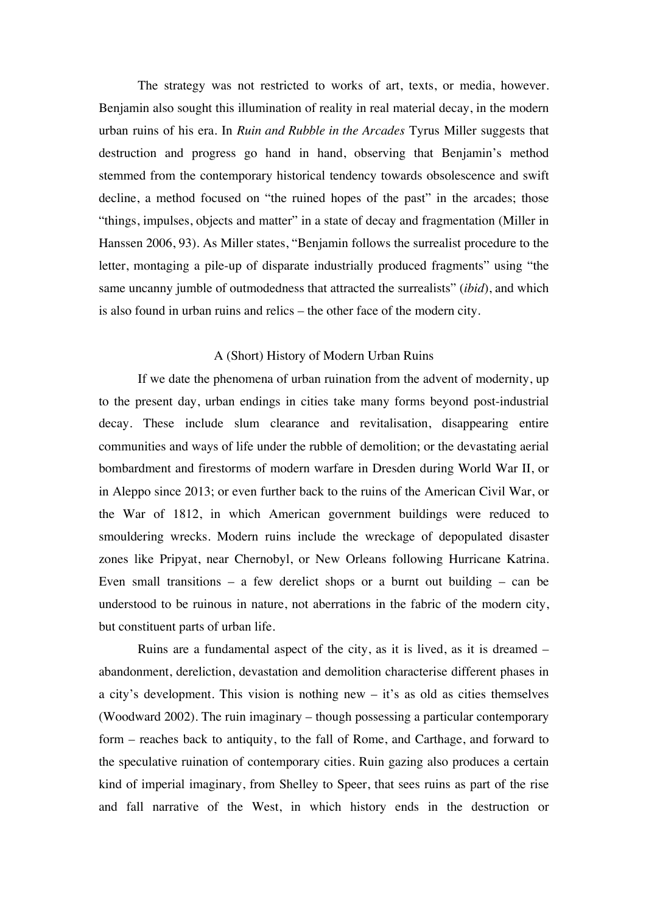The strategy was not restricted to works of art, texts, or media, however. Benjamin also sought this illumination of reality in real material decay, in the modern urban ruins of his era. In *Ruin and Rubble in the Arcades* Tyrus Miller suggests that destruction and progress go hand in hand, observing that Benjamin's method stemmed from the contemporary historical tendency towards obsolescence and swift decline, a method focused on "the ruined hopes of the past" in the arcades; those "things, impulses, objects and matter" in a state of decay and fragmentation (Miller in Hanssen 2006, 93). As Miller states, "Benjamin follows the surrealist procedure to the letter, montaging a pile-up of disparate industrially produced fragments" using "the same uncanny jumble of outmodedness that attracted the surrealists" (*ibid*), and which is also found in urban ruins and relics – the other face of the modern city.

# A (Short) History of Modern Urban Ruins

If we date the phenomena of urban ruination from the advent of modernity, up to the present day, urban endings in cities take many forms beyond post-industrial decay. These include slum clearance and revitalisation, disappearing entire communities and ways of life under the rubble of demolition; or the devastating aerial bombardment and firestorms of modern warfare in Dresden during World War II, or in Aleppo since 2013; or even further back to the ruins of the American Civil War, or the War of 1812, in which American government buildings were reduced to smouldering wrecks. Modern ruins include the wreckage of depopulated disaster zones like Pripyat, near Chernobyl, or New Orleans following Hurricane Katrina. Even small transitions – a few derelict shops or a burnt out building – can be understood to be ruinous in nature, not aberrations in the fabric of the modern city, but constituent parts of urban life.

Ruins are a fundamental aspect of the city, as it is lived, as it is dreamed – abandonment, dereliction, devastation and demolition characterise different phases in a city's development. This vision is nothing new – it's as old as cities themselves (Woodward 2002). The ruin imaginary – though possessing a particular contemporary form – reaches back to antiquity, to the fall of Rome, and Carthage, and forward to the speculative ruination of contemporary cities. Ruin gazing also produces a certain kind of imperial imaginary, from Shelley to Speer, that sees ruins as part of the rise and fall narrative of the West, in which history ends in the destruction or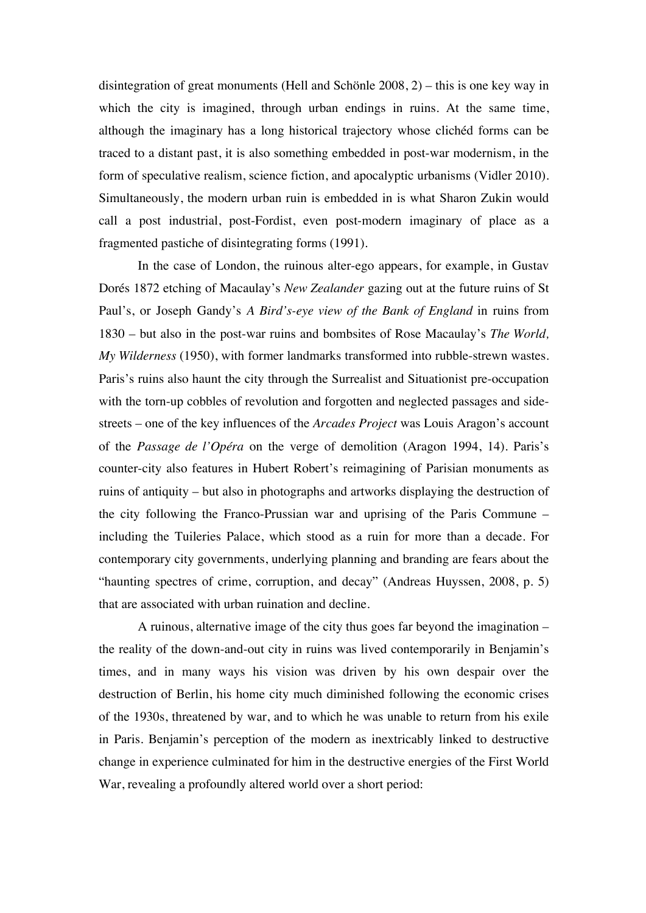disintegration of great monuments (Hell and Schönle 2008, 2) – this is one key way in which the city is imagined, through urban endings in ruins. At the same time, although the imaginary has a long historical trajectory whose clichéd forms can be traced to a distant past, it is also something embedded in post-war modernism, in the form of speculative realism, science fiction, and apocalyptic urbanisms (Vidler 2010). Simultaneously, the modern urban ruin is embedded in is what Sharon Zukin would call a post industrial, post-Fordist, even post-modern imaginary of place as a fragmented pastiche of disintegrating forms (1991).

In the case of London, the ruinous alter-ego appears, for example, in Gustav Dorés 1872 etching of Macaulay's *New Zealander* gazing out at the future ruins of St Paul's, or Joseph Gandy's *A Bird's-eye view of the Bank of England* in ruins from 1830 – but also in the post-war ruins and bombsites of Rose Macaulay's *The World, My Wilderness* (1950), with former landmarks transformed into rubble-strewn wastes. Paris's ruins also haunt the city through the Surrealist and Situationist pre-occupation with the torn-up cobbles of revolution and forgotten and neglected passages and sidestreets – one of the key influences of the *Arcades Project* was Louis Aragon's account of the *Passage de l'Opéra* on the verge of demolition (Aragon 1994, 14). Paris's counter-city also features in Hubert Robert's reimagining of Parisian monuments as ruins of antiquity – but also in photographs and artworks displaying the destruction of the city following the Franco-Prussian war and uprising of the Paris Commune – including the Tuileries Palace, which stood as a ruin for more than a decade. For contemporary city governments, underlying planning and branding are fears about the "haunting spectres of crime, corruption, and decay" (Andreas Huyssen, 2008, p. 5) that are associated with urban ruination and decline.

A ruinous, alternative image of the city thus goes far beyond the imagination – the reality of the down-and-out city in ruins was lived contemporarily in Benjamin's times, and in many ways his vision was driven by his own despair over the destruction of Berlin, his home city much diminished following the economic crises of the 1930s, threatened by war, and to which he was unable to return from his exile in Paris. Benjamin's perception of the modern as inextricably linked to destructive change in experience culminated for him in the destructive energies of the First World War, revealing a profoundly altered world over a short period: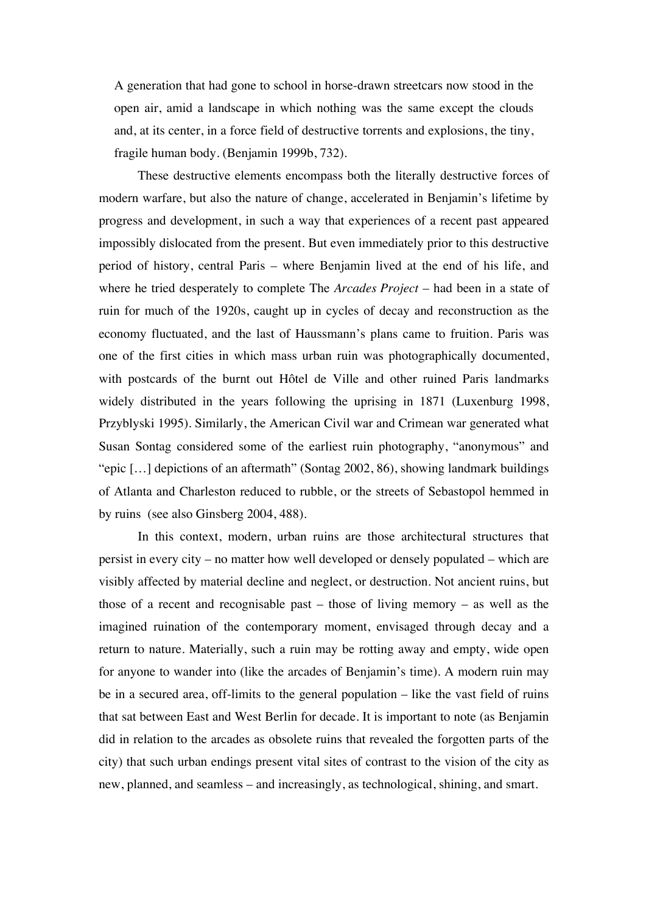A generation that had gone to school in horse-drawn streetcars now stood in the open air, amid a landscape in which nothing was the same except the clouds and, at its center, in a force field of destructive torrents and explosions, the tiny, fragile human body. (Benjamin 1999b, 732).

These destructive elements encompass both the literally destructive forces of modern warfare, but also the nature of change, accelerated in Benjamin's lifetime by progress and development, in such a way that experiences of a recent past appeared impossibly dislocated from the present. But even immediately prior to this destructive period of history, central Paris – where Benjamin lived at the end of his life, and where he tried desperately to complete The *Arcades Project* – had been in a state of ruin for much of the 1920s, caught up in cycles of decay and reconstruction as the economy fluctuated, and the last of Haussmann's plans came to fruition. Paris was one of the first cities in which mass urban ruin was photographically documented, with postcards of the burnt out Hôtel de Ville and other ruined Paris landmarks widely distributed in the years following the uprising in 1871 (Luxenburg 1998, Przyblyski 1995). Similarly, the American Civil war and Crimean war generated what Susan Sontag considered some of the earliest ruin photography, "anonymous" and "epic […] depictions of an aftermath" (Sontag 2002, 86), showing landmark buildings of Atlanta and Charleston reduced to rubble, or the streets of Sebastopol hemmed in by ruins (see also Ginsberg 2004, 488).

In this context, modern, urban ruins are those architectural structures that persist in every city – no matter how well developed or densely populated – which are visibly affected by material decline and neglect, or destruction. Not ancient ruins, but those of a recent and recognisable past – those of living memory – as well as the imagined ruination of the contemporary moment, envisaged through decay and a return to nature. Materially, such a ruin may be rotting away and empty, wide open for anyone to wander into (like the arcades of Benjamin's time). A modern ruin may be in a secured area, off-limits to the general population – like the vast field of ruins that sat between East and West Berlin for decade. It is important to note (as Benjamin did in relation to the arcades as obsolete ruins that revealed the forgotten parts of the city) that such urban endings present vital sites of contrast to the vision of the city as new, planned, and seamless – and increasingly, as technological, shining, and smart.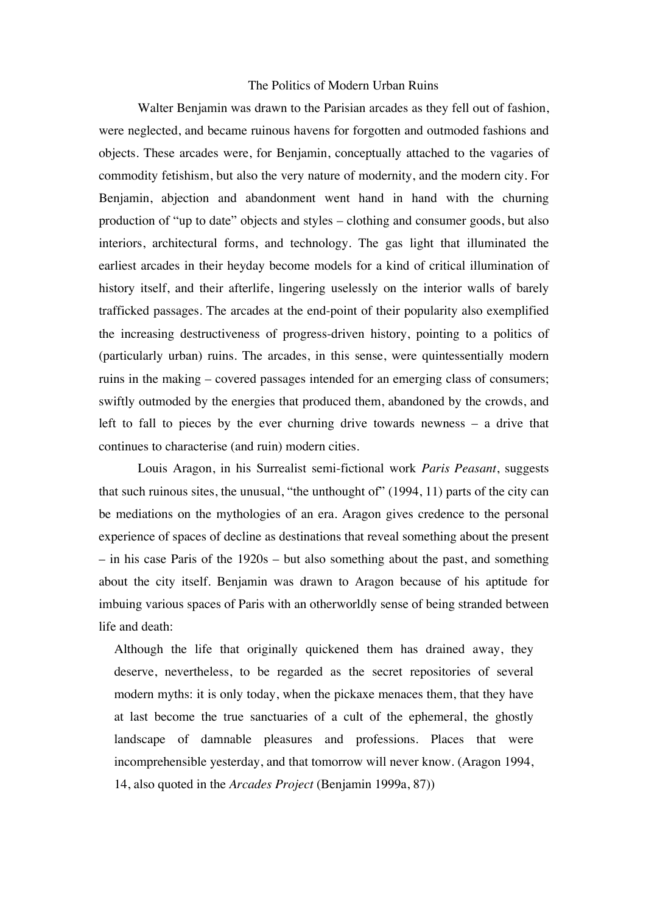### The Politics of Modern Urban Ruins

Walter Benjamin was drawn to the Parisian arcades as they fell out of fashion, were neglected, and became ruinous havens for forgotten and outmoded fashions and objects. These arcades were, for Benjamin, conceptually attached to the vagaries of commodity fetishism, but also the very nature of modernity, and the modern city. For Benjamin, abjection and abandonment went hand in hand with the churning production of "up to date" objects and styles – clothing and consumer goods, but also interiors, architectural forms, and technology. The gas light that illuminated the earliest arcades in their heyday become models for a kind of critical illumination of history itself, and their afterlife, lingering uselessly on the interior walls of barely trafficked passages. The arcades at the end-point of their popularity also exemplified the increasing destructiveness of progress-driven history, pointing to a politics of (particularly urban) ruins. The arcades, in this sense, were quintessentially modern ruins in the making – covered passages intended for an emerging class of consumers; swiftly outmoded by the energies that produced them, abandoned by the crowds, and left to fall to pieces by the ever churning drive towards newness – a drive that continues to characterise (and ruin) modern cities.

Louis Aragon, in his Surrealist semi-fictional work *Paris Peasant*, suggests that such ruinous sites, the unusual, "the unthought of" (1994, 11) parts of the city can be mediations on the mythologies of an era. Aragon gives credence to the personal experience of spaces of decline as destinations that reveal something about the present – in his case Paris of the 1920s – but also something about the past, and something about the city itself. Benjamin was drawn to Aragon because of his aptitude for imbuing various spaces of Paris with an otherworldly sense of being stranded between life and death:

Although the life that originally quickened them has drained away, they deserve, nevertheless, to be regarded as the secret repositories of several modern myths: it is only today, when the pickaxe menaces them, that they have at last become the true sanctuaries of a cult of the ephemeral, the ghostly landscape of damnable pleasures and professions. Places that were incomprehensible yesterday, and that tomorrow will never know. (Aragon 1994, 14, also quoted in the *Arcades Project* (Benjamin 1999a, 87))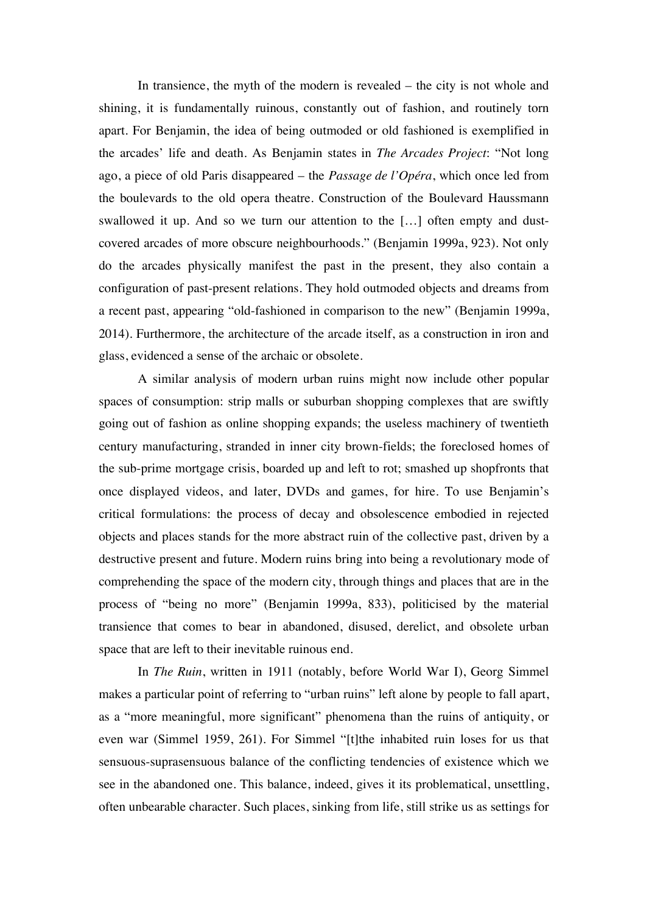In transience, the myth of the modern is revealed – the city is not whole and shining, it is fundamentally ruinous, constantly out of fashion, and routinely torn apart. For Benjamin, the idea of being outmoded or old fashioned is exemplified in the arcades' life and death. As Benjamin states in *The Arcades Project*: "Not long ago, a piece of old Paris disappeared – the *Passage de l'Opéra*, which once led from the boulevards to the old opera theatre. Construction of the Boulevard Haussmann swallowed it up. And so we turn our attention to the […] often empty and dustcovered arcades of more obscure neighbourhoods." (Benjamin 1999a, 923). Not only do the arcades physically manifest the past in the present, they also contain a configuration of past-present relations. They hold outmoded objects and dreams from a recent past, appearing "old-fashioned in comparison to the new" (Benjamin 1999a, 2014). Furthermore, the architecture of the arcade itself, as a construction in iron and glass, evidenced a sense of the archaic or obsolete.

A similar analysis of modern urban ruins might now include other popular spaces of consumption: strip malls or suburban shopping complexes that are swiftly going out of fashion as online shopping expands; the useless machinery of twentieth century manufacturing, stranded in inner city brown-fields; the foreclosed homes of the sub-prime mortgage crisis, boarded up and left to rot; smashed up shopfronts that once displayed videos, and later, DVDs and games, for hire. To use Benjamin's critical formulations: the process of decay and obsolescence embodied in rejected objects and places stands for the more abstract ruin of the collective past, driven by a destructive present and future. Modern ruins bring into being a revolutionary mode of comprehending the space of the modern city, through things and places that are in the process of "being no more" (Benjamin 1999a, 833), politicised by the material transience that comes to bear in abandoned, disused, derelict, and obsolete urban space that are left to their inevitable ruinous end.

In *The Ruin*, written in 1911 (notably, before World War I), Georg Simmel makes a particular point of referring to "urban ruins" left alone by people to fall apart, as a "more meaningful, more significant" phenomena than the ruins of antiquity, or even war (Simmel 1959, 261). For Simmel "[t]the inhabited ruin loses for us that sensuous-suprasensuous balance of the conflicting tendencies of existence which we see in the abandoned one. This balance, indeed, gives it its problematical, unsettling, often unbearable character. Such places, sinking from life, still strike us as settings for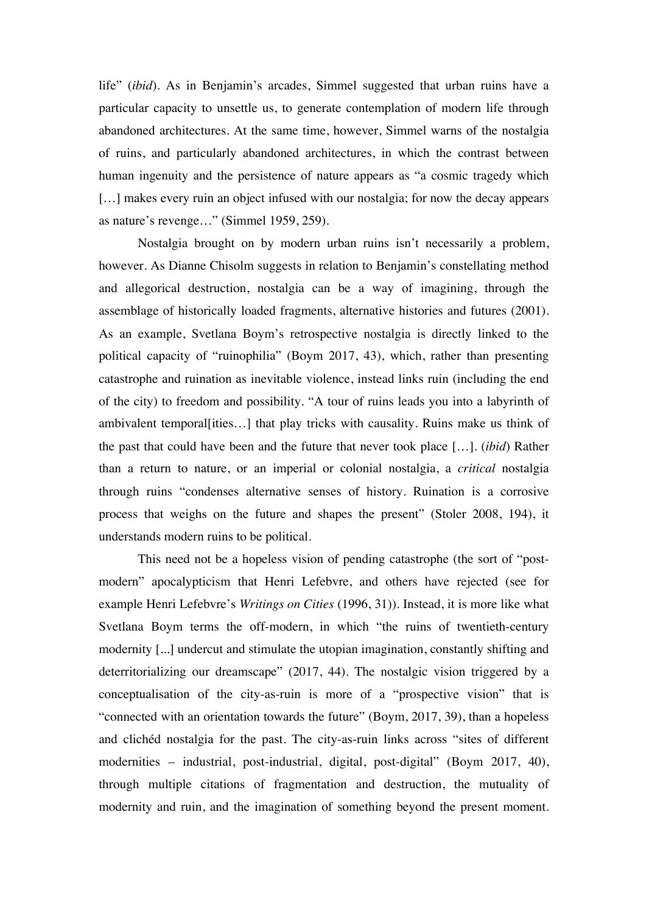life" (*ibid*). As in Benjamin's arcades, Simmel suggested that urban ruins have a particular capacity to unsettle us, to generate contemplation of modern life through abandoned architectures. At the same time, however, Simmel warns of the nostalgia of ruins, and particularly abandoned architectures, in which the contrast between human ingenuity and the persistence of nature appears as "a cosmic tragedy which [...] makes every ruin an object infused with our nostalgia; for now the decay appears as nature's revenge…" (Simmel 1959, 259).

Nostalgia brought on by modern urban ruins isn't necessarily a problem, however. As Dianne Chisolm suggests in relation to Benjamin's constellating method and allegorical destruction, nostalgia can be a way of imagining, through the assemblage of historically loaded fragments, alternative histories and futures (2001). As an example, Svetlana Boym's retrospective nostalgia is directly linked to the political capacity of "ruinophilia" (Boym 2017, 43), which, rather than presenting catastrophe and ruination as inevitable violence, instead links ruin (including the end of the city) to freedom and possibility. "A tour of ruins leads you into a labyrinth of ambivalent temporal[ities…] that play tricks with causality. Ruins make us think of the past that could have been and the future that never took place […]. (*ibid*) Rather than a return to nature, or an imperial or colonial nostalgia, a *critical* nostalgia through ruins "condenses alternative senses of history. Ruination is a corrosive process that weighs on the future and shapes the present" (Stoler 2008, 194), it understands modern ruins to be political.

This need not be a hopeless vision of pending catastrophe (the sort of "postmodern" apocalypticism that Henri Lefebvre, and others have rejected (see for example Henri Lefebvre's *Writings on Cities* (1996, 31)). Instead, it is more like what Svetlana Boym terms the off-modern, in which "the ruins of twentieth-century modernity [...] undercut and stimulate the utopian imagination, constantly shifting and deterritorializing our dreamscape" (2017, 44). The nostalgic vision triggered by a conceptualisation of the city-as-ruin is more of a "prospective vision" that is "connected with an orientation towards the future" (Boym, 2017, 39), than a hopeless and clichéd nostalgia for the past. The city-as-ruin links across "sites of different modernities – industrial, post-industrial, digital, post-digital" (Boym 2017, 40), through multiple citations of fragmentation and destruction, the mutuality of modernity and ruin, and the imagination of something beyond the present moment.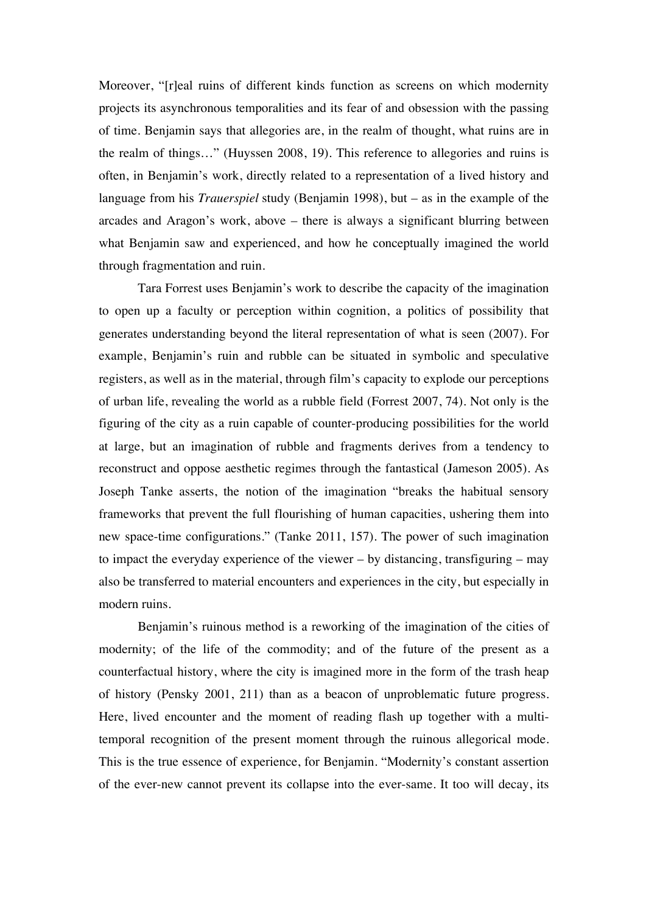Moreover, "[r]eal ruins of different kinds function as screens on which modernity projects its asynchronous temporalities and its fear of and obsession with the passing of time. Benjamin says that allegories are, in the realm of thought, what ruins are in the realm of things…" (Huyssen 2008, 19). This reference to allegories and ruins is often, in Benjamin's work, directly related to a representation of a lived history and language from his *Trauerspiel* study (Benjamin 1998), but – as in the example of the arcades and Aragon's work, above – there is always a significant blurring between what Benjamin saw and experienced, and how he conceptually imagined the world through fragmentation and ruin.

Tara Forrest uses Benjamin's work to describe the capacity of the imagination to open up a faculty or perception within cognition, a politics of possibility that generates understanding beyond the literal representation of what is seen (2007). For example, Benjamin's ruin and rubble can be situated in symbolic and speculative registers, as well as in the material, through film's capacity to explode our perceptions of urban life, revealing the world as a rubble field (Forrest 2007, 74). Not only is the figuring of the city as a ruin capable of counter-producing possibilities for the world at large, but an imagination of rubble and fragments derives from a tendency to reconstruct and oppose aesthetic regimes through the fantastical (Jameson 2005). As Joseph Tanke asserts, the notion of the imagination "breaks the habitual sensory frameworks that prevent the full flourishing of human capacities, ushering them into new space-time configurations." (Tanke 2011, 157). The power of such imagination to impact the everyday experience of the viewer – by distancing, transfiguring – may also be transferred to material encounters and experiences in the city, but especially in modern ruins.

Benjamin's ruinous method is a reworking of the imagination of the cities of modernity; of the life of the commodity; and of the future of the present as a counterfactual history, where the city is imagined more in the form of the trash heap of history (Pensky 2001, 211) than as a beacon of unproblematic future progress. Here, lived encounter and the moment of reading flash up together with a multitemporal recognition of the present moment through the ruinous allegorical mode. This is the true essence of experience, for Benjamin. "Modernity's constant assertion of the ever-new cannot prevent its collapse into the ever-same. It too will decay, its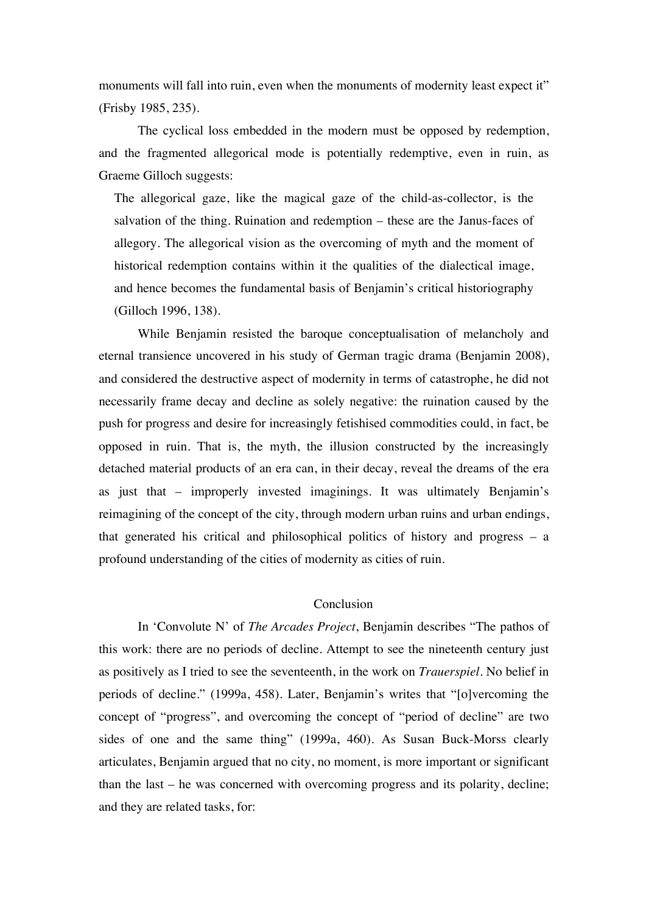monuments will fall into ruin, even when the monuments of modernity least expect it" (Frisby 1985, 235).

The cyclical loss embedded in the modern must be opposed by redemption, and the fragmented allegorical mode is potentially redemptive, even in ruin, as Graeme Gilloch suggests:

The allegorical gaze, like the magical gaze of the child-as-collector, is the salvation of the thing. Ruination and redemption – these are the Janus-faces of allegory. The allegorical vision as the overcoming of myth and the moment of historical redemption contains within it the qualities of the dialectical image, and hence becomes the fundamental basis of Benjamin's critical historiography (Gilloch 1996, 138).

While Benjamin resisted the baroque conceptualisation of melancholy and eternal transience uncovered in his study of German tragic drama (Benjamin 2008), and considered the destructive aspect of modernity in terms of catastrophe, he did not necessarily frame decay and decline as solely negative: the ruination caused by the push for progress and desire for increasingly fetishised commodities could, in fact, be opposed in ruin. That is, the myth, the illusion constructed by the increasingly detached material products of an era can, in their decay, reveal the dreams of the era as just that – improperly invested imaginings. It was ultimately Benjamin's reimagining of the concept of the city, through modern urban ruins and urban endings, that generated his critical and philosophical politics of history and progress – a profound understanding of the cities of modernity as cities of ruin.

# Conclusion

In 'Convolute N' of *The Arcades Project*, Benjamin describes "The pathos of this work: there are no periods of decline. Attempt to see the nineteenth century just as positively as I tried to see the seventeenth, in the work on *Trauerspiel*. No belief in periods of decline." (1999a, 458). Later, Benjamin's writes that "[o]vercoming the concept of "progress", and overcoming the concept of "period of decline" are two sides of one and the same thing" (1999a, 460). As Susan Buck-Morss clearly articulates, Benjamin argued that no city, no moment, is more important or significant than the last – he was concerned with overcoming progress and its polarity, decline; and they are related tasks, for: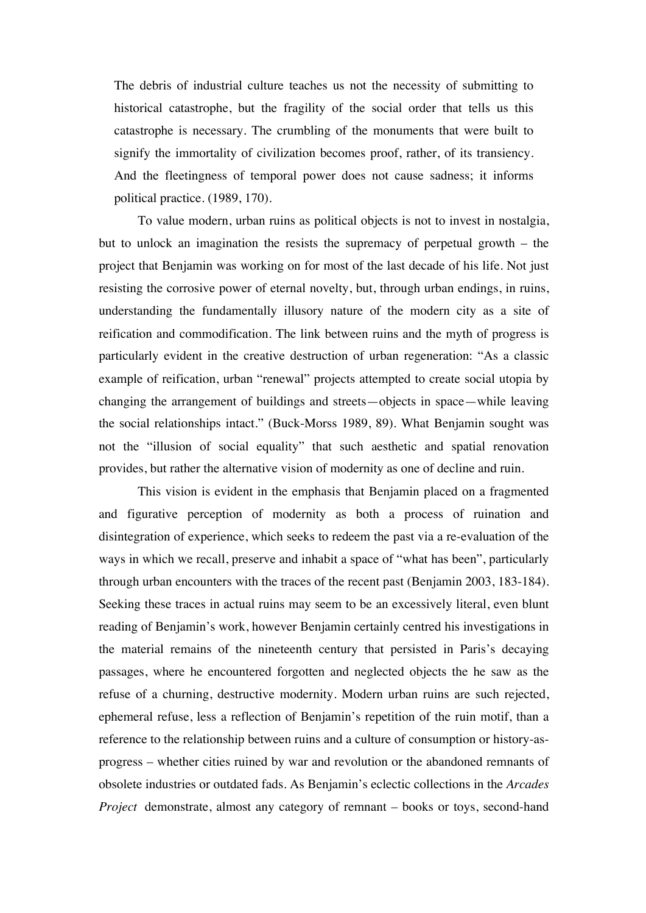The debris of industrial culture teaches us not the necessity of submitting to historical catastrophe, but the fragility of the social order that tells us this catastrophe is necessary. The crumbling of the monuments that were built to signify the immortality of civilization becomes proof, rather, of its transiency. And the fleetingness of temporal power does not cause sadness; it informs political practice. (1989, 170).

To value modern, urban ruins as political objects is not to invest in nostalgia, but to unlock an imagination the resists the supremacy of perpetual growth – the project that Benjamin was working on for most of the last decade of his life. Not just resisting the corrosive power of eternal novelty, but, through urban endings, in ruins, understanding the fundamentally illusory nature of the modern city as a site of reification and commodification. The link between ruins and the myth of progress is particularly evident in the creative destruction of urban regeneration: "As a classic example of reification, urban "renewal" projects attempted to create social utopia by changing the arrangement of buildings and streets—objects in space—while leaving the social relationships intact." (Buck-Morss 1989, 89). What Benjamin sought was not the "illusion of social equality" that such aesthetic and spatial renovation provides, but rather the alternative vision of modernity as one of decline and ruin.

This vision is evident in the emphasis that Benjamin placed on a fragmented and figurative perception of modernity as both a process of ruination and disintegration of experience, which seeks to redeem the past via a re-evaluation of the ways in which we recall, preserve and inhabit a space of "what has been", particularly through urban encounters with the traces of the recent past (Benjamin 2003, 183-184). Seeking these traces in actual ruins may seem to be an excessively literal, even blunt reading of Benjamin's work, however Benjamin certainly centred his investigations in the material remains of the nineteenth century that persisted in Paris's decaying passages, where he encountered forgotten and neglected objects the he saw as the refuse of a churning, destructive modernity. Modern urban ruins are such rejected, ephemeral refuse, less a reflection of Benjamin's repetition of the ruin motif, than a reference to the relationship between ruins and a culture of consumption or history-asprogress – whether cities ruined by war and revolution or the abandoned remnants of obsolete industries or outdated fads. As Benjamin's eclectic collections in the *Arcades Project* demonstrate, almost any category of remnant – books or toys, second-hand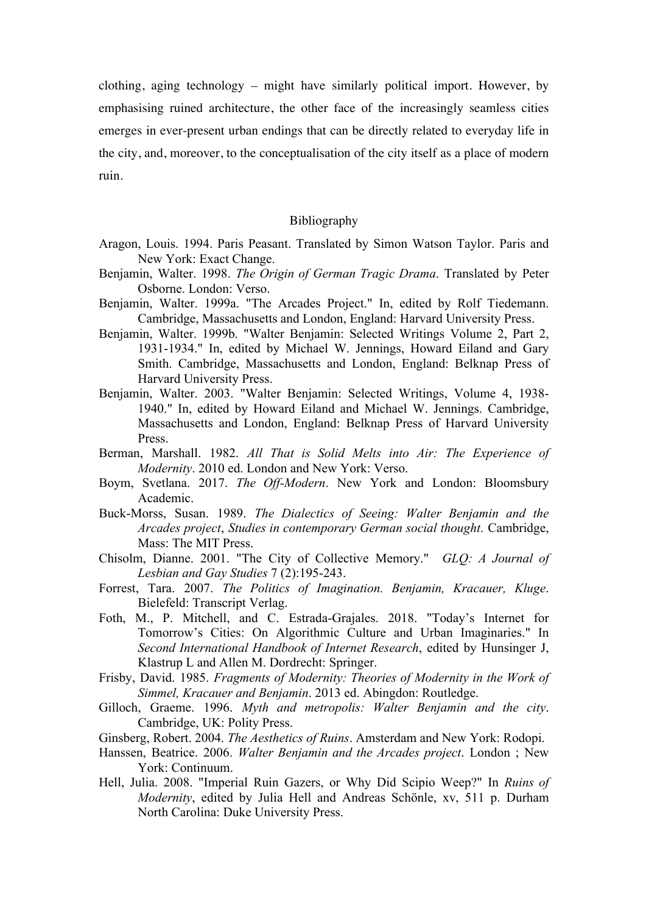clothing, aging technology – might have similarly political import. However, by emphasising ruined architecture, the other face of the increasingly seamless cities emerges in ever-present urban endings that can be directly related to everyday life in the city, and, moreover, to the conceptualisation of the city itself as a place of modern ruin.

# Bibliography

- Aragon, Louis. 1994. Paris Peasant. Translated by Simon Watson Taylor. Paris and New York: Exact Change.
- Benjamin, Walter. 1998. *The Origin of German Tragic Drama*. Translated by Peter Osborne. London: Verso.
- Benjamin, Walter. 1999a. "The Arcades Project." In, edited by Rolf Tiedemann. Cambridge, Massachusetts and London, England: Harvard University Press.
- Benjamin, Walter. 1999b. "Walter Benjamin: Selected Writings Volume 2, Part 2, 1931-1934." In, edited by Michael W. Jennings, Howard Eiland and Gary Smith. Cambridge, Massachusetts and London, England: Belknap Press of Harvard University Press.
- Benjamin, Walter. 2003. "Walter Benjamin: Selected Writings, Volume 4, 1938- 1940." In, edited by Howard Eiland and Michael W. Jennings. Cambridge, Massachusetts and London, England: Belknap Press of Harvard University Press.
- Berman, Marshall. 1982. *All That is Solid Melts into Air: The Experience of Modernity*. 2010 ed. London and New York: Verso.
- Boym, Svetlana. 2017. *The Off-Modern*. New York and London: Bloomsbury Academic.
- Buck-Morss, Susan. 1989. *The Dialectics of Seeing: Walter Benjamin and the Arcades project*, *Studies in contemporary German social thought*. Cambridge, Mass: The MIT Press.
- Chisolm, Dianne. 2001. "The City of Collective Memory." *GLQ: A Journal of Lesbian and Gay Studies* 7 (2):195-243.
- Forrest, Tara. 2007. *The Politics of Imagination. Benjamin, Kracauer, Kluge*. Bielefeld: Transcript Verlag.
- Foth, M., P. Mitchell, and C. Estrada-Grajales. 2018. "Today's Internet for Tomorrow's Cities: On Algorithmic Culture and Urban Imaginaries." In *Second International Handbook of Internet Research*, edited by Hunsinger J, Klastrup L and Allen M. Dordrecht: Springer.
- Frisby, David. 1985. *Fragments of Modernity: Theories of Modernity in the Work of Simmel, Kracauer and Benjamin*. 2013 ed. Abingdon: Routledge.
- Gilloch, Graeme. 1996. *Myth and metropolis: Walter Benjamin and the city*. Cambridge, UK: Polity Press.
- Ginsberg, Robert. 2004. *The Aesthetics of Ruins*. Amsterdam and New York: Rodopi.
- Hanssen, Beatrice. 2006. *Walter Benjamin and the Arcades project*. London ; New York: Continuum.
- Hell, Julia. 2008. "Imperial Ruin Gazers, or Why Did Scipio Weep?" In *Ruins of Modernity*, edited by Julia Hell and Andreas Schönle, xv, 511 p. Durham North Carolina: Duke University Press.